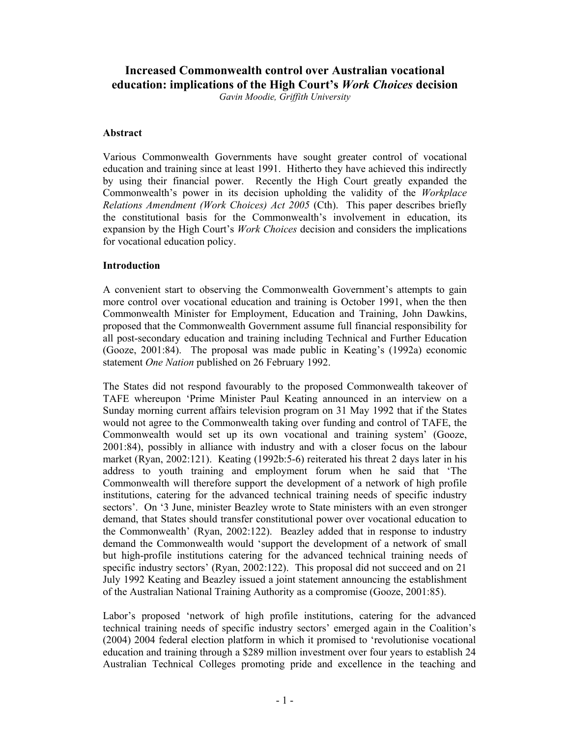# **Increased Commonwealth control over Australian vocational education: implications of the High Court's** *Work Choices* **decision**

*Gavin Moodie, Griffith University* 

# **Abstract**

Various Commonwealth Governments have sought greater control of vocational education and training since at least 1991. Hitherto they have achieved this indirectly by using their financial power. Recently the High Court greatly expanded the Commonwealth's power in its decision upholding the validity of the *Workplace Relations Amendment (Work Choices) Act 2005* (Cth). This paper describes briefly the constitutional basis for the Commonwealth's involvement in education, its expansion by the High Court's *Work Choices* decision and considers the implications for vocational education policy.

# **Introduction**

A convenient start to observing the Commonwealth Government's attempts to gain more control over vocational education and training is October 1991, when the then Commonwealth Minister for Employment, Education and Training, John Dawkins, proposed that the Commonwealth Government assume full financial responsibility for all post-secondary education and training including Technical and Further Education (Gooze, 2001:84). The proposal was made public in Keating's (1992a) economic statement *One Nation* published on 26 February 1992.

The States did not respond favourably to the proposed Commonwealth takeover of TAFE whereupon 'Prime Minister Paul Keating announced in an interview on a Sunday morning current affairs television program on 31 May 1992 that if the States would not agree to the Commonwealth taking over funding and control of TAFE, the Commonwealth would set up its own vocational and training system' (Gooze, 2001:84), possibly in alliance with industry and with a closer focus on the labour market (Ryan, 2002:121). Keating (1992b:5-6) reiterated his threat 2 days later in his address to youth training and employment forum when he said that 'The Commonwealth will therefore support the development of a network of high profile institutions, catering for the advanced technical training needs of specific industry sectors'. On '3 June, minister Beazley wrote to State ministers with an even stronger demand, that States should transfer constitutional power over vocational education to the Commonwealth' (Ryan, 2002:122). Beazley added that in response to industry demand the Commonwealth would 'support the development of a network of small but high-profile institutions catering for the advanced technical training needs of specific industry sectors' (Ryan, 2002:122). This proposal did not succeed and on 21 July 1992 Keating and Beazley issued a joint statement announcing the establishment of the Australian National Training Authority as a compromise (Gooze, 2001:85).

Labor's proposed 'network of high profile institutions, catering for the advanced technical training needs of specific industry sectors' emerged again in the Coalition's (2004) 2004 federal election platform in which it promised to 'revolutionise vocational education and training through a \$289 million investment over four years to establish 24 Australian Technical Colleges promoting pride and excellence in the teaching and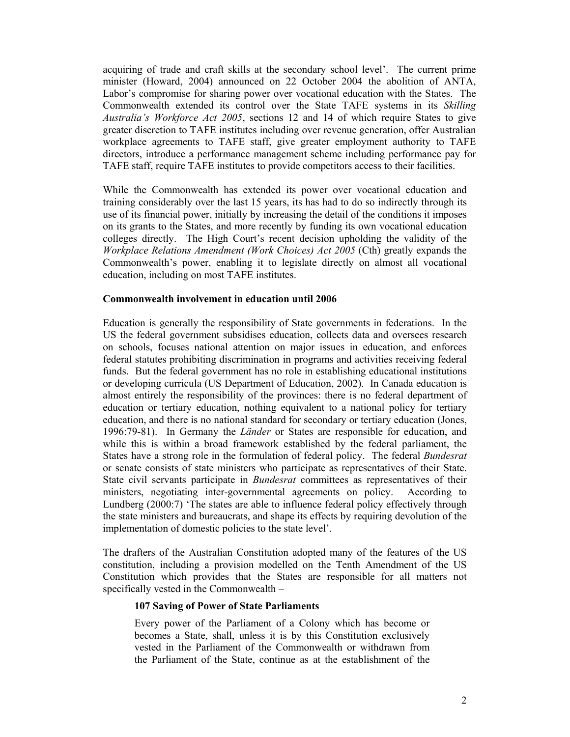acquiring of trade and craft skills at the secondary school level'. The current prime minister (Howard, 2004) announced on 22 October 2004 the abolition of ANTA, Labor's compromise for sharing power over vocational education with the States. The Commonwealth extended its control over the State TAFE systems in its *Skilling Australia's Workforce Act 2005*, sections 12 and 14 of which require States to give greater discretion to TAFE institutes including over revenue generation, offer Australian workplace agreements to TAFE staff, give greater employment authority to TAFE directors, introduce a performance management scheme including performance pay for TAFE staff, require TAFE institutes to provide competitors access to their facilities.

While the Commonwealth has extended its power over vocational education and training considerably over the last 15 years, its has had to do so indirectly through its use of its financial power, initially by increasing the detail of the conditions it imposes on its grants to the States, and more recently by funding its own vocational education colleges directly. The High Court's recent decision upholding the validity of the *Workplace Relations Amendment (Work Choices) Act 2005* (Cth) greatly expands the Commonwealth's power, enabling it to legislate directly on almost all vocational education, including on most TAFE institutes.

#### **Commonwealth involvement in education until 2006**

Education is generally the responsibility of State governments in federations. In the US the federal government subsidises education, collects data and oversees research on schools, focuses national attention on major issues in education, and enforces federal statutes prohibiting discrimination in programs and activities receiving federal funds. But the federal government has no role in establishing educational institutions or developing curricula (US Department of Education, 2002). In Canada education is almost entirely the responsibility of the provinces: there is no federal department of education or tertiary education, nothing equivalent to a national policy for tertiary education, and there is no national standard for secondary or tertiary education (Jones, 1996:79-81). In Germany the *Länder* or States are responsible for education, and while this is within a broad framework established by the federal parliament, the States have a strong role in the formulation of federal policy. The federal *Bundesrat* or senate consists of state ministers who participate as representatives of their State. State civil servants participate in *Bundesrat* committees as representatives of their ministers, negotiating inter-governmental agreements on policy. According to Lundberg (2000:7) 'The states are able to influence federal policy effectively through the state ministers and bureaucrats, and shape its effects by requiring devolution of the implementation of domestic policies to the state level'.

The drafters of the Australian Constitution adopted many of the features of the US constitution, including a provision modelled on the Tenth Amendment of the US Constitution which provides that the States are responsible for all matters not specifically vested in the Commonwealth –

### **107 Saving of Power of State Parliaments**

Every power of the Parliament of a Colony which has become or becomes a State, shall, unless it is by this Constitution exclusively vested in the Parliament of the Commonwealth or withdrawn from the Parliament of the State, continue as at the establishment of the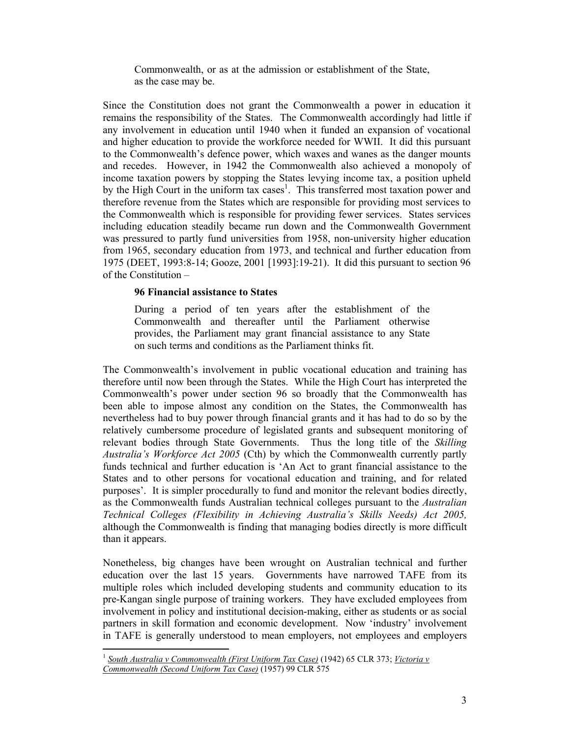Commonwealth, or as at the admission or establishment of the State, as the case may be.

Since the Constitution does not grant the Commonwealth a power in education it remains the responsibility of the States. The Commonwealth accordingly had little if any involvement in education until 1940 when it funded an expansion of vocational and higher education to provide the workforce needed for WWII. It did this pursuant to the Commonwealth's defence power, which waxes and wanes as the danger mounts and recedes. However, in 1942 the Commonwealth also achieved a monopoly of income taxation powers by stopping the States levying income tax, a position upheld by the High Court in the uniform tax cases<sup>1</sup>. This transferred most taxation power and therefore revenue from the States which are responsible for providing most services to the Commonwealth which is responsible for providing fewer services. States services including education steadily became run down and the Commonwealth Government was pressured to partly fund universities from 1958, non-university higher education from 1965, secondary education from 1973, and technical and further education from 1975 (DEET, 1993:8-14; Gooze, 2001 [1993]:19-21). It did this pursuant to section 96 of the Constitution –

### **96 Financial assistance to States**

During a period of ten years after the establishment of the Commonwealth and thereafter until the Parliament otherwise provides, the Parliament may grant financial assistance to any State on such terms and conditions as the Parliament thinks fit.

The Commonwealth's involvement in public vocational education and training has therefore until now been through the States. While the High Court has interpreted the Commonwealth's power under section 96 so broadly that the Commonwealth has been able to impose almost any condition on the States, the Commonwealth has nevertheless had to buy power through financial grants and it has had to do so by the relatively cumbersome procedure of legislated grants and subsequent monitoring of relevant bodies through State Governments. Thus the long title of the *Skilling Australia's Workforce Act 2005* (Cth) by which the Commonwealth currently partly funds technical and further education is 'An Act to grant financial assistance to the States and to other persons for vocational education and training, and for related purposes'. It is simpler procedurally to fund and monitor the relevant bodies directly, as the Commonwealth funds Australian technical colleges pursuant to the *Australian Technical Colleges (Flexibility in Achieving Australia's Skills Needs) Act 2005,*  although the Commonwealth is finding that managing bodies directly is more difficult than it appears.

Nonetheless, big changes have been wrought on Australian technical and further education over the last 15 years. Governments have narrowed TAFE from its multiple roles which included developing students and community education to its pre-Kangan single purpose of training workers. They have excluded employees from involvement in policy and institutional decision-making, either as students or as social partners in skill formation and economic development. Now 'industry' involvement in TAFE is generally understood to mean employers, not employees and employers

 $\overline{a}$ <sup>1</sup> *South Australia v Commonwealth (First Uniform Tax Case)* (1942) 65 CLR 373; *Victoria v Commonwealth (Second Uniform Tax Case)* (1957) 99 CLR 575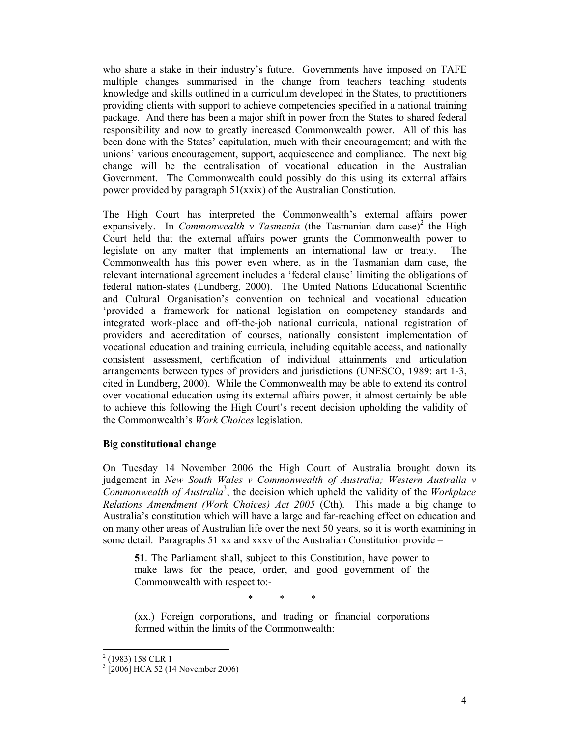who share a stake in their industry's future. Governments have imposed on TAFE multiple changes summarised in the change from teachers teaching students knowledge and skills outlined in a curriculum developed in the States, to practitioners providing clients with support to achieve competencies specified in a national training package. And there has been a major shift in power from the States to shared federal responsibility and now to greatly increased Commonwealth power. All of this has been done with the States' capitulation, much with their encouragement; and with the unions' various encouragement, support, acquiescence and compliance. The next big change will be the centralisation of vocational education in the Australian Government. The Commonwealth could possibly do this using its external affairs power provided by paragraph 51(xxix) of the Australian Constitution.

The High Court has interpreted the Commonwealth's external affairs power expansively. In *Commonwealth v Tasmania* (the Tasmanian dam case)<sup>2</sup> the High Court held that the external affairs power grants the Commonwealth power to legislate on any matter that implements an international law or treaty. The Commonwealth has this power even where, as in the Tasmanian dam case, the relevant international agreement includes a 'federal clause' limiting the obligations of federal nation-states (Lundberg, 2000). The United Nations Educational Scientific and Cultural Organisation's convention on technical and vocational education 'provided a framework for national legislation on competency standards and integrated work-place and off-the-job national curricula, national registration of providers and accreditation of courses, nationally consistent implementation of vocational education and training curricula, including equitable access, and nationally consistent assessment, certification of individual attainments and articulation arrangements between types of providers and jurisdictions (UNESCO, 1989: art 1-3, cited in Lundberg, 2000). While the Commonwealth may be able to extend its control over vocational education using its external affairs power, it almost certainly be able to achieve this following the High Court's recent decision upholding the validity of the Commonwealth's *Work Choices* legislation.

### **Big constitutional change**

On Tuesday 14 November 2006 the High Court of Australia brought down its judgement in *New South Wales v Commonwealth of Australia; Western Australia v Commonwealth of Australia*<sup>3</sup> , the decision which upheld the validity of the *Workplace Relations Amendment (Work Choices) Act 2005* (Cth). This made a big change to Australia's constitution which will have a large and far-reaching effect on education and on many other areas of Australian life over the next 50 years, so it is worth examining in some detail. Paragraphs 51 xx and xxxv of the Australian Constitution provide –

**51**. The Parliament shall, subject to this Constitution, have power to make laws for the peace, order, and good government of the Commonwealth with respect to:-

\* \* \*

(xx.) Foreign corporations, and trading or financial corporations formed within the limits of the Commonwealth:

 $\overline{a}$ 

 $2(1983)$  158 CLR 1

<sup>3</sup> [2006] HCA 52 (14 November 2006)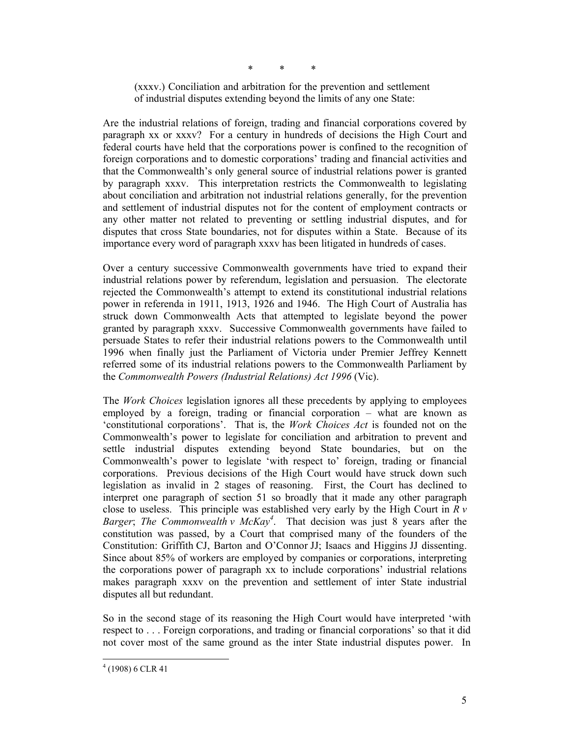\* \* \*

(xxxv.) Conciliation and arbitration for the prevention and settlement of industrial disputes extending beyond the limits of any one State:

Are the industrial relations of foreign, trading and financial corporations covered by paragraph xx or xxxv? For a century in hundreds of decisions the High Court and federal courts have held that the corporations power is confined to the recognition of foreign corporations and to domestic corporations' trading and financial activities and that the Commonwealth's only general source of industrial relations power is granted by paragraph xxxv. This interpretation restricts the Commonwealth to legislating about conciliation and arbitration not industrial relations generally, for the prevention and settlement of industrial disputes not for the content of employment contracts or any other matter not related to preventing or settling industrial disputes, and for disputes that cross State boundaries, not for disputes within a State. Because of its importance every word of paragraph xxxv has been litigated in hundreds of cases.

Over a century successive Commonwealth governments have tried to expand their industrial relations power by referendum, legislation and persuasion. The electorate rejected the Commonwealth's attempt to extend its constitutional industrial relations power in referenda in 1911, 1913, 1926 and 1946. The High Court of Australia has struck down Commonwealth Acts that attempted to legislate beyond the power granted by paragraph xxxv. Successive Commonwealth governments have failed to persuade States to refer their industrial relations powers to the Commonwealth until 1996 when finally just the Parliament of Victoria under Premier Jeffrey Kennett referred some of its industrial relations powers to the Commonwealth Parliament by the *Commonwealth Powers (Industrial Relations) Act 1996* (Vic).

The *Work Choices* legislation ignores all these precedents by applying to employees employed by a foreign, trading or financial corporation – what are known as 'constitutional corporations'. That is, the *Work Choices Act* is founded not on the Commonwealth's power to legislate for conciliation and arbitration to prevent and settle industrial disputes extending beyond State boundaries, but on the Commonwealth's power to legislate 'with respect to' foreign, trading or financial corporations. Previous decisions of the High Court would have struck down such legislation as invalid in 2 stages of reasoning. First, the Court has declined to interpret one paragraph of section 51 so broadly that it made any other paragraph close to useless. This principle was established very early by the High Court in *R v Barger*; *The Commonwealth v McKay4* . That decision was just 8 years after the constitution was passed, by a Court that comprised many of the founders of the Constitution: Griffith CJ, Barton and O'Connor JJ; Isaacs and Higgins JJ dissenting. Since about 85% of workers are employed by companies or corporations, interpreting the corporations power of paragraph xx to include corporations' industrial relations makes paragraph xxxv on the prevention and settlement of inter State industrial disputes all but redundant.

So in the second stage of its reasoning the High Court would have interpreted 'with respect to . . . Foreign corporations, and trading or financial corporations' so that it did not cover most of the same ground as the inter State industrial disputes power. In

 $\overline{a}$ 

 $4(1908)$  6 CLR 41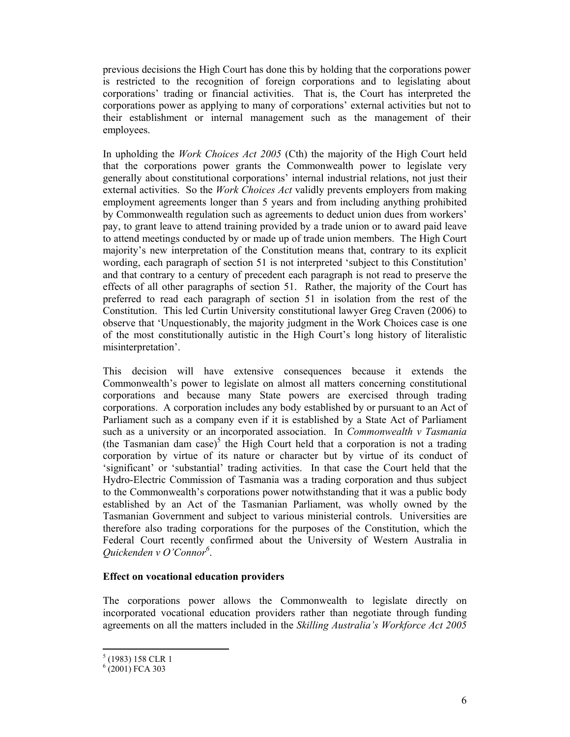previous decisions the High Court has done this by holding that the corporations power is restricted to the recognition of foreign corporations and to legislating about corporations' trading or financial activities. That is, the Court has interpreted the corporations power as applying to many of corporations' external activities but not to their establishment or internal management such as the management of their employees.

In upholding the *Work Choices Act 2005* (Cth) the majority of the High Court held that the corporations power grants the Commonwealth power to legislate very generally about constitutional corporations' internal industrial relations, not just their external activities. So the *Work Choices Act* validly prevents employers from making employment agreements longer than 5 years and from including anything prohibited by Commonwealth regulation such as agreements to deduct union dues from workers' pay, to grant leave to attend training provided by a trade union or to award paid leave to attend meetings conducted by or made up of trade union members. The High Court majority's new interpretation of the Constitution means that, contrary to its explicit wording, each paragraph of section 51 is not interpreted 'subject to this Constitution' and that contrary to a century of precedent each paragraph is not read to preserve the effects of all other paragraphs of section 51. Rather, the majority of the Court has preferred to read each paragraph of section 51 in isolation from the rest of the Constitution. This led Curtin University constitutional lawyer Greg Craven (2006) to observe that 'Unquestionably, the majority judgment in the Work Choices case is one of the most constitutionally autistic in the High Court's long history of literalistic misinterpretation'.

This decision will have extensive consequences because it extends the Commonwealth's power to legislate on almost all matters concerning constitutional corporations and because many State powers are exercised through trading corporations. A corporation includes any body established by or pursuant to an Act of Parliament such as a company even if it is established by a State Act of Parliament such as a university or an incorporated association. In *Commonwealth v Tasmania*  (the Tasmanian dam case)<sup>5</sup> the High Court held that a corporation is not a trading corporation by virtue of its nature or character but by virtue of its conduct of 'significant' or 'substantial' trading activities. In that case the Court held that the Hydro-Electric Commission of Tasmania was a trading corporation and thus subject to the Commonwealth's corporations power notwithstanding that it was a public body established by an Act of the Tasmanian Parliament, was wholly owned by the Tasmanian Government and subject to various ministerial controls. Universities are therefore also trading corporations for the purposes of the Constitution, which the Federal Court recently confirmed about the University of Western Australia in *Quickenden v O'Connor6* .

### **Effect on vocational education providers**

The corporations power allows the Commonwealth to legislate directly on incorporated vocational education providers rather than negotiate through funding agreements on all the matters included in the *Skilling Australia's Workforce Act 2005* 

 $\overline{a}$ 

<sup>5</sup> (1983) 158 CLR 1

 $(2001)$  FCA 303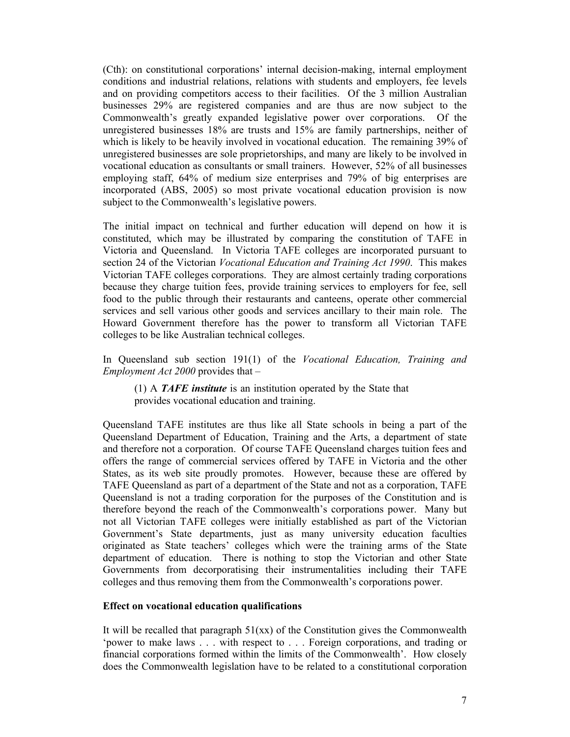(Cth): on constitutional corporations' internal decision-making, internal employment conditions and industrial relations, relations with students and employers, fee levels and on providing competitors access to their facilities. Of the 3 million Australian businesses 29% are registered companies and are thus are now subject to the Commonwealth's greatly expanded legislative power over corporations. Of the unregistered businesses 18% are trusts and 15% are family partnerships, neither of which is likely to be heavily involved in vocational education. The remaining 39% of unregistered businesses are sole proprietorships, and many are likely to be involved in vocational education as consultants or small trainers. However, 52% of all businesses employing staff, 64% of medium size enterprises and 79% of big enterprises are incorporated (ABS, 2005) so most private vocational education provision is now subject to the Commonwealth's legislative powers.

The initial impact on technical and further education will depend on how it is constituted, which may be illustrated by comparing the constitution of TAFE in Victoria and Queensland. In Victoria TAFE colleges are incorporated pursuant to section 24 of the Victorian *Vocational Education and Training Act 1990*. This makes Victorian TAFE colleges corporations. They are almost certainly trading corporations because they charge tuition fees, provide training services to employers for fee, sell food to the public through their restaurants and canteens, operate other commercial services and sell various other goods and services ancillary to their main role. The Howard Government therefore has the power to transform all Victorian TAFE colleges to be like Australian technical colleges.

In Queensland sub section 191(1) of the *Vocational Education, Training and Employment Act 2000* provides that –

(1) A *TAFE institute* is an institution operated by the State that provides vocational education and training.

Queensland TAFE institutes are thus like all State schools in being a part of the Queensland Department of Education, Training and the Arts, a department of state and therefore not a corporation. Of course TAFE Queensland charges tuition fees and offers the range of commercial services offered by TAFE in Victoria and the other States, as its web site proudly promotes. However, because these are offered by TAFE Queensland as part of a department of the State and not as a corporation, TAFE Queensland is not a trading corporation for the purposes of the Constitution and is therefore beyond the reach of the Commonwealth's corporations power. Many but not all Victorian TAFE colleges were initially established as part of the Victorian Government's State departments, just as many university education faculties originated as State teachers' colleges which were the training arms of the State department of education. There is nothing to stop the Victorian and other State Governments from decorporatising their instrumentalities including their TAFE colleges and thus removing them from the Commonwealth's corporations power.

#### **Effect on vocational education qualifications**

It will be recalled that paragraph  $51(xx)$  of the Constitution gives the Commonwealth 'power to make laws . . . with respect to . . . Foreign corporations, and trading or financial corporations formed within the limits of the Commonwealth'. How closely does the Commonwealth legislation have to be related to a constitutional corporation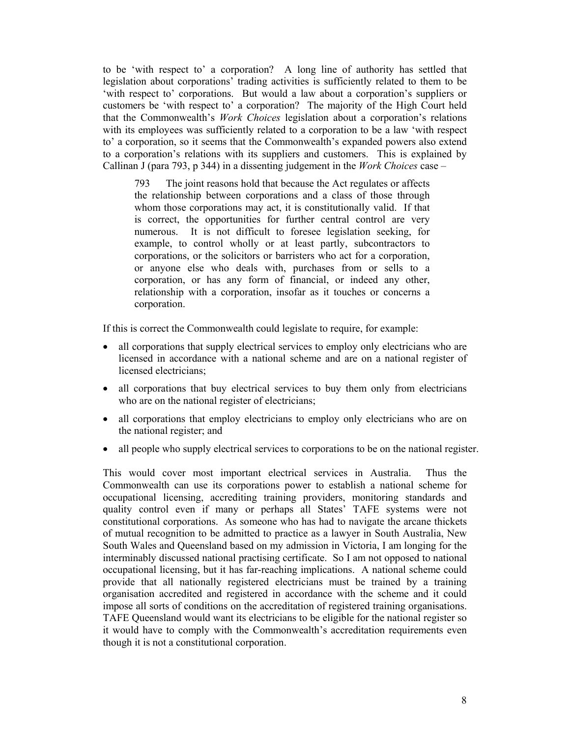to be 'with respect to' a corporation? A long line of authority has settled that legislation about corporations' trading activities is sufficiently related to them to be 'with respect to' corporations. But would a law about a corporation's suppliers or customers be 'with respect to' a corporation? The majority of the High Court held that the Commonwealth's *Work Choices* legislation about a corporation's relations with its employees was sufficiently related to a corporation to be a law 'with respect to' a corporation, so it seems that the Commonwealth's expanded powers also extend to a corporation's relations with its suppliers and customers. This is explained by Callinan J (para 793, p 344) in a dissenting judgement in the *Work Choices* case –

793 The joint reasons hold that because the Act regulates or affects the relationship between corporations and a class of those through whom those corporations may act, it is constitutionally valid. If that is correct, the opportunities for further central control are very numerous. It is not difficult to foresee legislation seeking, for example, to control wholly or at least partly, subcontractors to corporations, or the solicitors or barristers who act for a corporation, or anyone else who deals with, purchases from or sells to a corporation, or has any form of financial, or indeed any other, relationship with a corporation, insofar as it touches or concerns a corporation.

If this is correct the Commonwealth could legislate to require, for example:

- all corporations that supply electrical services to employ only electricians who are licensed in accordance with a national scheme and are on a national register of licensed electricians;
- all corporations that buy electrical services to buy them only from electricians who are on the national register of electricians;
- all corporations that employ electricians to employ only electricians who are on the national register; and
- all people who supply electrical services to corporations to be on the national register.

This would cover most important electrical services in Australia. Thus the Commonwealth can use its corporations power to establish a national scheme for occupational licensing, accrediting training providers, monitoring standards and quality control even if many or perhaps all States' TAFE systems were not constitutional corporations. As someone who has had to navigate the arcane thickets of mutual recognition to be admitted to practice as a lawyer in South Australia, New South Wales and Queensland based on my admission in Victoria, I am longing for the interminably discussed national practising certificate. So I am not opposed to national occupational licensing, but it has far-reaching implications. A national scheme could provide that all nationally registered electricians must be trained by a training organisation accredited and registered in accordance with the scheme and it could impose all sorts of conditions on the accreditation of registered training organisations. TAFE Queensland would want its electricians to be eligible for the national register so it would have to comply with the Commonwealth's accreditation requirements even though it is not a constitutional corporation.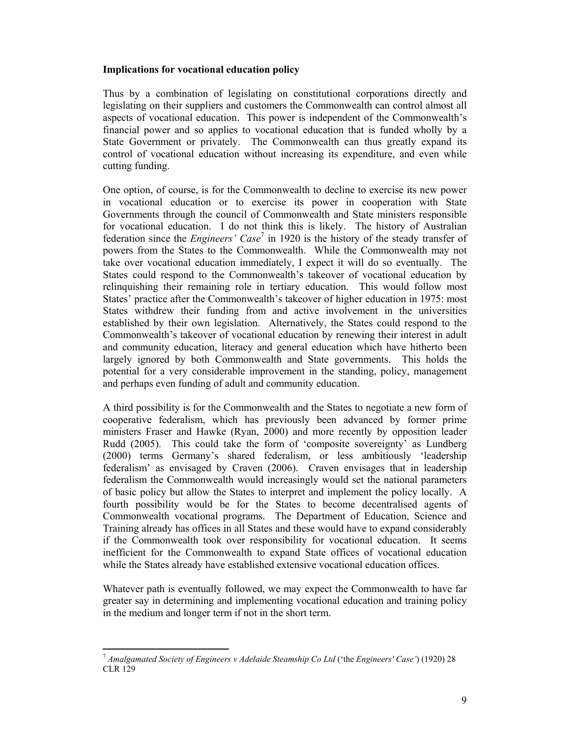### **Implications for vocational education policy**

Thus by a combination of legislating on constitutional corporations directly and legislating on their suppliers and customers the Commonwealth can control almost all aspects of vocational education. This power is independent of the Commonwealth's financial power and so applies to vocational education that is funded wholly by a State Government or privately. The Commonwealth can thus greatly expand its control of vocational education without increasing its expenditure, and even while cutting funding.

One option, of course, is for the Commonwealth to decline to exercise its new power in vocational education or to exercise its power in cooperation with State Governments through the council of Commonwealth and State ministers responsible for vocational education. I do not think this is likely. The history of Australian federation since the *Engineers' Case*<sup>7</sup> in 1920 is the history of the steady transfer of powers from the States to the Commonwealth. While the Commonwealth may not take over vocational education immediately, I expect it will do so eventually. The States could respond to the Commonwealth's takeover of vocational education by relinquishing their remaining role in tertiary education. This would follow most States' practice after the Commonwealth's takeover of higher education in 1975: most States withdrew their funding from and active involvement in the universities established by their own legislation. Alternatively, the States could respond to the Commonwealth's takeover of vocational education by renewing their interest in adult and community education, literacy and general education which have hitherto been largely ignored by both Commonwealth and State governments. This holds the potential for a very considerable improvement in the standing, policy, management and perhaps even funding of adult and community education.

A third possibility is for the Commonwealth and the States to negotiate a new form of cooperative federalism, which has previously been advanced by former prime ministers Fraser and Hawke (Ryan, 2000) and more recently by opposition leader Rudd (2005). This could take the form of 'composite sovereignty' as Lundberg (2000) terms Germany's shared federalism, or less ambitiously 'leadership federalism' as envisaged by Craven (2006). Craven envisages that in leadership federalism the Commonwealth would increasingly would set the national parameters of basic policy but allow the States to interpret and implement the policy locally. A fourth possibility would be for the States to become decentralised agents of Commonwealth vocational programs. The Department of Education, Science and Training already has offices in all States and these would have to expand considerably if the Commonwealth took over responsibility for vocational education. It seems inefficient for the Commonwealth to expand State offices of vocational education while the States already have established extensive vocational education offices.

Whatever path is eventually followed, we may expect the Commonwealth to have far greater say in determining and implementing vocational education and training policy in the medium and longer term if not in the short term.

 $\overline{a}$ <sup>7</sup> *Amalgamated Society of Engineers v Adelaide Steamship Co Ltd* ('the *Engineers' Case'*) (1920) 28 CLR 129